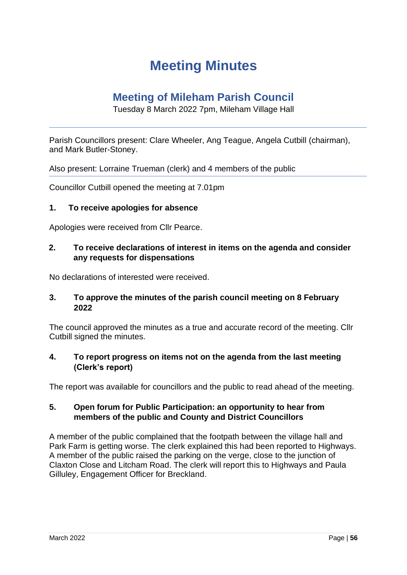# **Meeting Minutes**

# **Meeting of Mileham Parish Council**

Tuesday 8 March 2022 7pm, Mileham Village Hall

Parish Councillors present: Clare Wheeler, Ang Teague, Angela Cutbill (chairman), and Mark Butler-Stoney.

Also present: Lorraine Trueman (clerk) and 4 members of the public

Councillor Cutbill opened the meeting at 7.01pm

#### **1. To receive apologies for absence**

Apologies were received from Cllr Pearce.

# **2. To receive declarations of interest in items on the agenda and consider any requests for dispensations**

No declarations of interested were received.

#### **3. To approve the minutes of the parish council meeting on 8 February 2022**

The council approved the minutes as a true and accurate record of the meeting. Cllr Cutbill signed the minutes.

#### **4. To report progress on items not on the agenda from the last meeting (Clerk's report)**

The report was available for councillors and the public to read ahead of the meeting.

#### **5. Open forum for Public Participation: an opportunity to hear from members of the public and County and District Councillors**

A member of the public complained that the footpath between the village hall and Park Farm is getting worse. The clerk explained this had been reported to Highways. A member of the public raised the parking on the verge, close to the junction of Claxton Close and Litcham Road. The clerk will report this to Highways and Paula Gilluley, Engagement Officer for Breckland.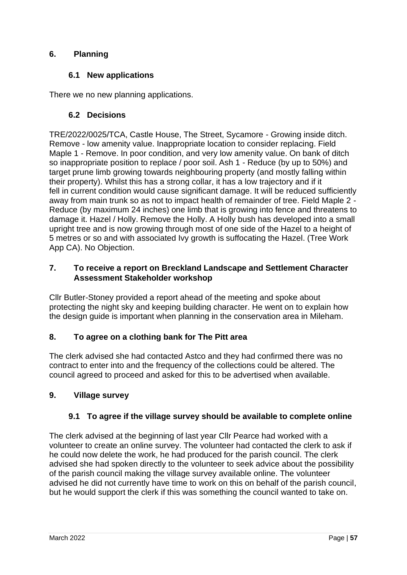# **6. Planning**

# **6.1 New applications**

There we no new planning applications.

# **6.2 Decisions**

TRE/2022/0025/TCA, Castle House, The Street, Sycamore - Growing inside ditch. Remove - low amenity value. Inappropriate location to consider replacing. Field Maple 1 - Remove. In poor condition, and very low amenity value. On bank of ditch so inappropriate position to replace / poor soil. Ash 1 - Reduce (by up to 50%) and target prune limb growing towards neighbouring property (and mostly falling within their property). Whilst this has a strong collar, it has a low trajectory and if it fell in current condition would cause significant damage. It will be reduced sufficiently away from main trunk so as not to impact health of remainder of tree. Field Maple 2 - Reduce (by maximum 24 inches) one limb that is growing into fence and threatens to damage it. Hazel / Holly. Remove the Holly. A Holly bush has developed into a small upright tree and is now growing through most of one side of the Hazel to a height of 5 metres or so and with associated Ivy growth is suffocating the Hazel. (Tree Work App CA). No Objection.

# **7. To receive a report on Breckland Landscape and Settlement Character Assessment Stakeholder workshop**

Cllr Butler-Stoney provided a report ahead of the meeting and spoke about protecting the night sky and keeping building character. He went on to explain how the design guide is important when planning in the conservation area in Mileham.

# **8. To agree on a clothing bank for The Pitt area**

The clerk advised she had contacted Astco and they had confirmed there was no contract to enter into and the frequency of the collections could be altered. The council agreed to proceed and asked for this to be advertised when available.

# **9. Village survey**

# **9.1 To agree if the village survey should be available to complete online**

The clerk advised at the beginning of last year Cllr Pearce had worked with a volunteer to create an online survey. The volunteer had contacted the clerk to ask if he could now delete the work, he had produced for the parish council. The clerk advised she had spoken directly to the volunteer to seek advice about the possibility of the parish council making the village survey available online. The volunteer advised he did not currently have time to work on this on behalf of the parish council, but he would support the clerk if this was something the council wanted to take on.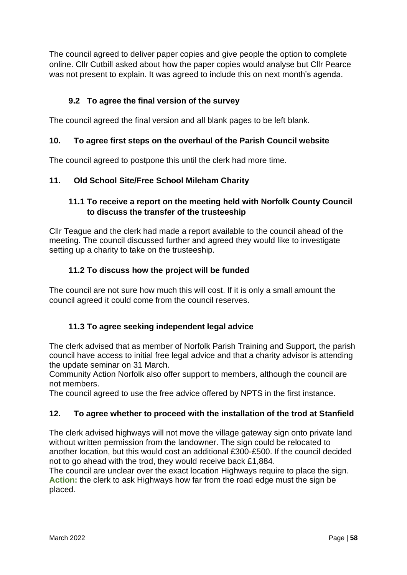The council agreed to deliver paper copies and give people the option to complete online. Cllr Cutbill asked about how the paper copies would analyse but Cllr Pearce was not present to explain. It was agreed to include this on next month's agenda.

# **9.2 To agree the final version of the survey**

The council agreed the final version and all blank pages to be left blank.

# **10. To agree first steps on the overhaul of the Parish Council website**

The council agreed to postpone this until the clerk had more time.

# **11. Old School Site/Free School Mileham Charity**

# **11.1 To receive a report on the meeting held with Norfolk County Council to discuss the transfer of the trusteeship**

Cllr Teague and the clerk had made a report available to the council ahead of the meeting. The council discussed further and agreed they would like to investigate setting up a charity to take on the trusteeship.

# **11.2 To discuss how the project will be funded**

The council are not sure how much this will cost. If it is only a small amount the council agreed it could come from the council reserves.

# **11.3 To agree seeking independent legal advice**

The clerk advised that as member of Norfolk Parish Training and Support, the parish council have access to initial free legal advice and that a charity advisor is attending the update seminar on 31 March.

Community Action Norfolk also offer support to members, although the council are not members.

The council agreed to use the free advice offered by NPTS in the first instance.

# **12. To agree whether to proceed with the installation of the trod at Stanfield**

The clerk advised highways will not move the village gateway sign onto private land without written permission from the landowner. The sign could be relocated to another location, but this would cost an additional £300-£500. If the council decided not to go ahead with the trod, they would receive back £1,884.

The council are unclear over the exact location Highways require to place the sign. **Action:** the clerk to ask Highways how far from the road edge must the sign be placed.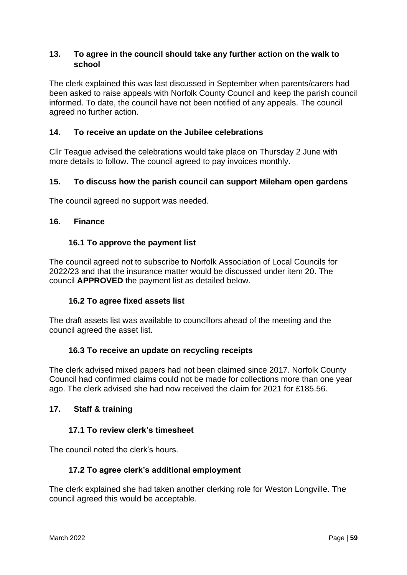#### **13. To agree in the council should take any further action on the walk to school**

The clerk explained this was last discussed in September when parents/carers had been asked to raise appeals with Norfolk County Council and keep the parish council informed. To date, the council have not been notified of any appeals. The council agreed no further action.

### **14. To receive an update on the Jubilee celebrations**

Cllr Teague advised the celebrations would take place on Thursday 2 June with more details to follow. The council agreed to pay invoices monthly.

#### **15. To discuss how the parish council can support Mileham open gardens**

The council agreed no support was needed.

#### **16. Finance**

#### **16.1 To approve the payment list**

The council agreed not to subscribe to Norfolk Association of Local Councils for 2022/23 and that the insurance matter would be discussed under item 20. The council **APPROVED** the payment list as detailed below.

#### **16.2 To agree fixed assets list**

The draft assets list was available to councillors ahead of the meeting and the council agreed the asset list.

#### **16.3 To receive an update on recycling receipts**

The clerk advised mixed papers had not been claimed since 2017. Norfolk County Council had confirmed claims could not be made for collections more than one year ago. The clerk advised she had now received the claim for 2021 for £185.56.

#### **17. Staff & training**

#### **17.1 To review clerk's timesheet**

The council noted the clerk's hours.

#### **17.2 To agree clerk's additional employment**

The clerk explained she had taken another clerking role for Weston Longville. The council agreed this would be acceptable.